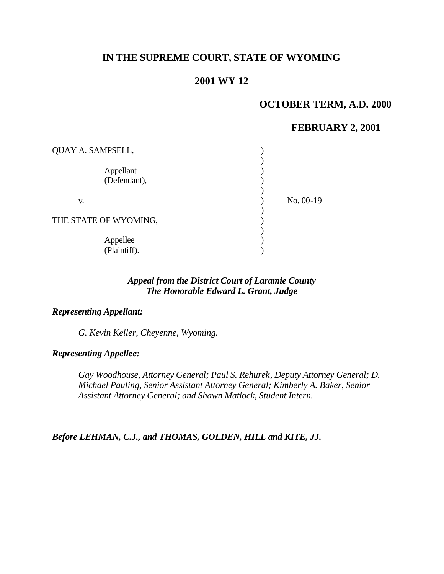# **IN THE SUPREME COURT, STATE OF WYOMING**

# **2001 WY 12**

## **OCTOBER TERM, A.D. 2000**

#### **FEBRUARY 2, 2001**

| QUAY A. SAMPSELL,         |             |
|---------------------------|-------------|
| Appellant<br>(Defendant), |             |
| V.                        | $No. 00-19$ |
| THE STATE OF WYOMING,     |             |
| Appellee<br>(Plaintiff).  |             |

### *Appeal from the District Court of Laramie County The Honorable Edward L. Grant, Judge*

## *Representing Appellant:*

*G. Kevin Keller, Cheyenne, Wyoming.*

#### *Representing Appellee:*

*Gay Woodhouse, Attorney General; Paul S. Rehurek, Deputy Attorney General; D. Michael Pauling, Senior Assistant Attorney General; Kimberly A. Baker, Senior Assistant Attorney General; and Shawn Matlock, Student Intern.*

*Before LEHMAN, C.J., and THOMAS, GOLDEN, HILL and KITE, JJ.*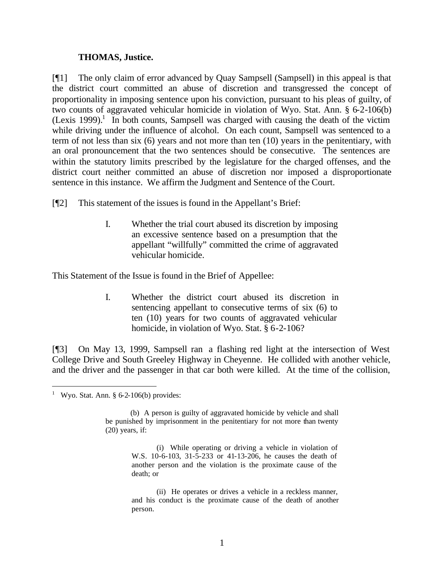#### **THOMAS, Justice.**

[¶1] The only claim of error advanced by Quay Sampsell (Sampsell) in this appeal is that the district court committed an abuse of discretion and transgressed the concept of proportionality in imposing sentence upon his conviction, pursuant to his pleas of guilty, of two counts of aggravated vehicular homicide in violation of Wyo. Stat. Ann. § 6-2-106(b)  $(Lexis 1999).$ <sup>1</sup> In both counts, Sampsell was charged with causing the death of the victim while driving under the influence of alcohol. On each count, Sampsell was sentenced to a term of not less than six (6) years and not more than ten (10) years in the penitentiary, with an oral pronouncement that the two sentences should be consecutive. The sentences are within the statutory limits prescribed by the legislature for the charged offenses, and the district court neither committed an abuse of discretion nor imposed a disproportionate sentence in this instance. We affirm the Judgment and Sentence of the Court.

[¶2] This statement of the issues is found in the Appellant's Brief:

I. Whether the trial court abused its discretion by imposing an excessive sentence based on a presumption that the appellant "willfully" committed the crime of aggravated vehicular homicide.

This Statement of the Issue is found in the Brief of Appellee:

I. Whether the district court abused its discretion in sentencing appellant to consecutive terms of six (6) to ten (10) years for two counts of aggravated vehicular homicide, in violation of Wyo. Stat. § 6-2-106?

[¶3] On May 13, 1999, Sampsell ran a flashing red light at the intersection of West College Drive and South Greeley Highway in Cheyenne. He collided with another vehicle, and the driver and the passenger in that car both were killed. At the time of the collision,

l

<sup>&</sup>lt;sup>1</sup> Wyo. Stat. Ann.  $§ 6-2-106(b)$  provides:

<sup>(</sup>b) A person is guilty of aggravated homicide by vehicle and shall be punished by imprisonment in the penitentiary for not more than twenty (20) years, if:

<sup>(</sup>i) While operating or driving a vehicle in violation of W.S. 10-6-103, 31-5-233 or 41-13-206, he causes the death of another person and the violation is the proximate cause of the death; or

<sup>(</sup>ii) He operates or drives a vehicle in a reckless manner, and his conduct is the proximate cause of the death of another person.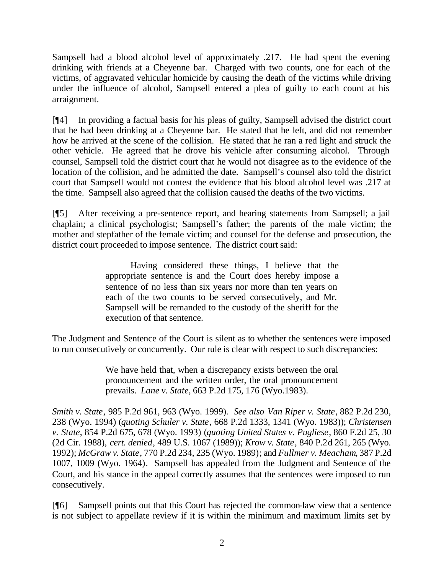Sampsell had a blood alcohol level of approximately .217. He had spent the evening drinking with friends at a Cheyenne bar. Charged with two counts, one for each of the victims, of aggravated vehicular homicide by causing the death of the victims while driving under the influence of alcohol, Sampsell entered a plea of guilty to each count at his arraignment.

[¶4] In providing a factual basis for his pleas of guilty, Sampsell advised the district court that he had been drinking at a Cheyenne bar. He stated that he left, and did not remember how he arrived at the scene of the collision. He stated that he ran a red light and struck the other vehicle. He agreed that he drove his vehicle after consuming alcohol. Through counsel, Sampsell told the district court that he would not disagree as to the evidence of the location of the collision, and he admitted the date. Sampsell's counsel also told the district court that Sampsell would not contest the evidence that his blood alcohol level was .217 at the time. Sampsell also agreed that the collision caused the deaths of the two victims.

[¶5] After receiving a pre-sentence report, and hearing statements from Sampsell; a jail chaplain; a clinical psychologist; Sampsell's father; the parents of the male victim; the mother and stepfather of the female victim; and counsel for the defense and prosecution, the district court proceeded to impose sentence. The district court said:

> Having considered these things, I believe that the appropriate sentence is and the Court does hereby impose a sentence of no less than six years nor more than ten years on each of the two counts to be served consecutively, and Mr. Sampsell will be remanded to the custody of the sheriff for the execution of that sentence.

The Judgment and Sentence of the Court is silent as to whether the sentences were imposed to run consecutively or concurrently. Our rule is clear with respect to such discrepancies:

> We have held that, when a discrepancy exists between the oral pronouncement and the written order, the oral pronouncement prevails. *Lane v. State*, 663 P.2d 175, 176 (Wyo.1983).

*Smith v. State*, 985 P.2d 961, 963 (Wyo. 1999). *See also Van Riper v. State*, 882 P.2d 230, 238 (Wyo. 1994) (*quoting Schuler v. State*, 668 P.2d 1333, 1341 (Wyo. 1983)); *Christensen v. State*, 854 P.2d 675, 678 (Wyo. 1993) (*quoting United States v. Pugliese*, 860 F.2d 25, 30 (2d Cir. 1988), *cert. denied*, 489 U.S. 1067 (1989)); *Krow v. State*, 840 P.2d 261, 265 (Wyo. 1992); *McGraw v. State*, 770 P.2d 234, 235 (Wyo. 1989); and *Fullmer v. Meacham*, 387 P.2d 1007, 1009 (Wyo. 1964). Sampsell has appealed from the Judgment and Sentence of the Court, and his stance in the appeal correctly assumes that the sentences were imposed to run consecutively.

[¶6] Sampsell points out that this Court has rejected the common-law view that a sentence is not subject to appellate review if it is within the minimum and maximum limits set by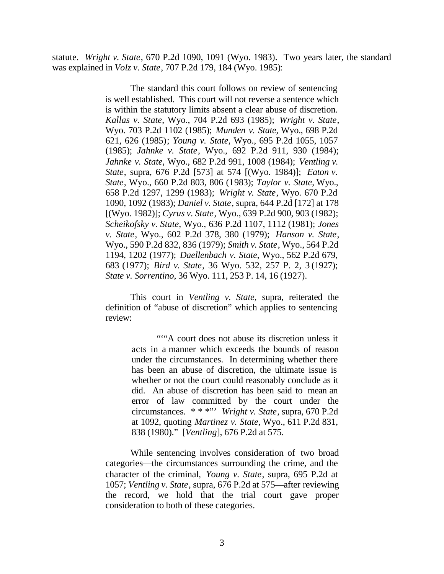statute. *Wright v. State*, 670 P.2d 1090, 1091 (Wyo. 1983). Two years later, the standard was explained in *Volz v. State*, 707 P.2d 179, 184 (Wyo. 1985):

> The standard this court follows on review of sentencing is well established. This court will not reverse a sentence which is within the statutory limits absent a clear abuse of discretion. *Kallas v. State*, Wyo., 704 P.2d 693 (1985); *Wright v. State*, Wyo. 703 P.2d 1102 (1985); *Munden v. State*, Wyo., 698 P.2d 621, 626 (1985); *Young v. State*, Wyo., 695 P.2d 1055, 1057 (1985); *Jahnke v. State*, Wyo., 692 P.2d 911, 930 (1984); *Jahnke v. State*, Wyo., 682 P.2d 991, 1008 (1984); *Ventling v. State*, supra, 676 P.2d [573] at 574 [(Wyo. 1984)]; *Eaton v. State*, Wyo., 660 P.2d 803, 806 (1983); *Taylor v. State*, Wyo., 658 P.2d 1297, 1299 (1983); *Wright v. State*, Wyo. 670 P.2d 1090, 1092 (1983); *Daniel v. State*, supra, 644 P.2d [172] at 178 [(Wyo. 1982)]; *Cyrus v. State*, Wyo., 639 P.2d 900, 903 (1982); *Scheikofsky v. State*, Wyo., 636 P.2d 1107, 1112 (1981); *Jones v. State*, Wyo., 602 P.2d 378, 380 (1979); *Hanson v. State*, Wyo., 590 P.2d 832, 836 (1979); *Smith v. State*, Wyo., 564 P.2d 1194, 1202 (1977); *Daellenbach v. State*, Wyo., 562 P.2d 679, 683 (1977); *Bird v. State*, 36 Wyo. 532, 257 P. 2, 3 (1927); *State v. Sorrentino*, 36 Wyo. 111, 253 P. 14, 16 (1927).

> This court in *Ventling v. State*, supra, reiterated the definition of "abuse of discretion" which applies to sentencing review:

> > ""A court does not abuse its discretion unless it acts in a manner which exceeds the bounds of reason under the circumstances. In determining whether there has been an abuse of discretion, the ultimate issue is whether or not the court could reasonably conclude as it did. An abuse of discretion has been said to mean an error of law committed by the court under the circumstances. \* \* \*"' *Wright v. State*, supra, 670 P.2d at 1092, quoting *Martinez v. State*, Wyo., 611 P.2d 831, 838 (1980)." [*Ventling*], 676 P.2d at 575.

While sentencing involves consideration of two broad categories—the circumstances surrounding the crime, and the character of the criminal, *Young v. State*, supra, 695 P.2d at 1057; *Ventling v. State*, supra, 676 P.2d at 575—after reviewing the record, we hold that the trial court gave proper consideration to both of these categories.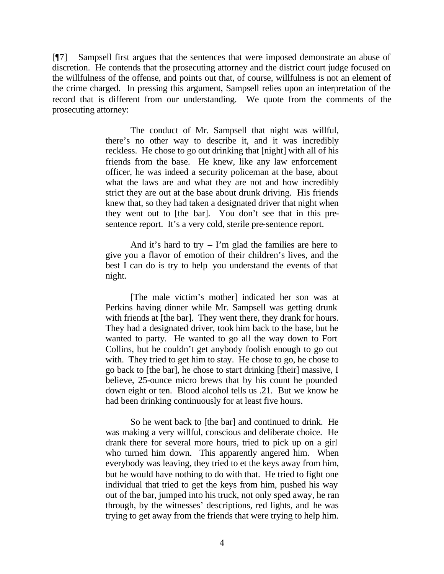[¶7] Sampsell first argues that the sentences that were imposed demonstrate an abuse of discretion. He contends that the prosecuting attorney and the district court judge focused on the willfulness of the offense, and points out that, of course, willfulness is not an element of the crime charged. In pressing this argument, Sampsell relies upon an interpretation of the record that is different from our understanding. We quote from the comments of the prosecuting attorney:

> The conduct of Mr. Sampsell that night was willful, there's no other way to describe it, and it was incredibly reckless. He chose to go out drinking that [night] with all of his friends from the base. He knew, like any law enforcement officer, he was indeed a security policeman at the base, about what the laws are and what they are not and how incredibly strict they are out at the base about drunk driving. His friends knew that, so they had taken a designated driver that night when they went out to [the bar]. You don't see that in this presentence report. It's a very cold, sterile pre-sentence report.

> And it's hard to try  $-$  I'm glad the families are here to give you a flavor of emotion of their children's lives, and the best I can do is try to help you understand the events of that night.

> [The male victim's mother] indicated her son was at Perkins having dinner while Mr. Sampsell was getting drunk with friends at [the bar]. They went there, they drank for hours. They had a designated driver, took him back to the base, but he wanted to party. He wanted to go all the way down to Fort Collins, but he couldn't get anybody foolish enough to go out with. They tried to get him to stay. He chose to go, he chose to go back to [the bar], he chose to start drinking [their] massive, I believe, 25-ounce micro brews that by his count he pounded down eight or ten. Blood alcohol tells us .21. But we know he had been drinking continuously for at least five hours.

> So he went back to [the bar] and continued to drink. He was making a very willful, conscious and deliberate choice. He drank there for several more hours, tried to pick up on a girl who turned him down. This apparently angered him. When everybody was leaving, they tried to et the keys away from him, but he would have nothing to do with that. He tried to fight one individual that tried to get the keys from him, pushed his way out of the bar, jumped into his truck, not only sped away, he ran through, by the witnesses' descriptions, red lights, and he was trying to get away from the friends that were trying to help him.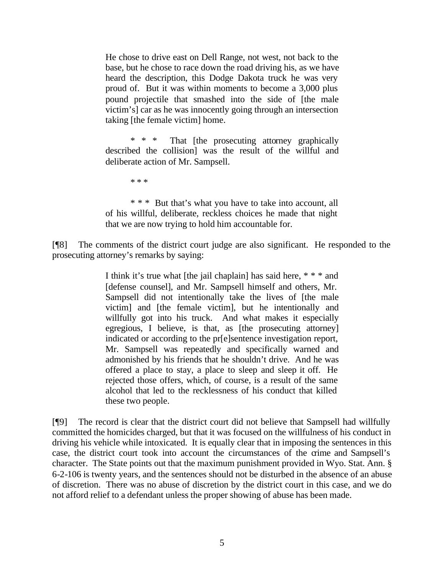He chose to drive east on Dell Range, not west, not back to the base, but he chose to race down the road driving his, as we have heard the description, this Dodge Dakota truck he was very proud of. But it was within moments to become a 3,000 plus pound projectile that smashed into the side of [the male victim's] car as he was innocently going through an intersection taking [the female victim] home.

\* \* \* That [the prosecuting attorney graphically described the collision] was the result of the willful and deliberate action of Mr. Sampsell.

\* \* \*

\* \* \* But that's what you have to take into account, all of his willful, deliberate, reckless choices he made that night that we are now trying to hold him accountable for.

[¶8] The comments of the district court judge are also significant. He responded to the prosecuting attorney's remarks by saying:

> I think it's true what [the jail chaplain] has said here, \* \* \* and [defense counsel], and Mr. Sampsell himself and others, Mr. Sampsell did not intentionally take the lives of [the male victim] and [the female victim], but he intentionally and willfully got into his truck. And what makes it especially egregious, I believe, is that, as [the prosecuting attorney] indicated or according to the pr[e]sentence investigation report, Mr. Sampsell was repeatedly and specifically warned and admonished by his friends that he shouldn't drive. And he was offered a place to stay, a place to sleep and sleep it off. He rejected those offers, which, of course, is a result of the same alcohol that led to the recklessness of his conduct that killed these two people.

[¶9] The record is clear that the district court did not believe that Sampsell had willfully committed the homicides charged, but that it was focused on the willfulness of his conduct in driving his vehicle while intoxicated. It is equally clear that in imposing the sentences in this case, the district court took into account the circumstances of the crime and Sampsell's character. The State points out that the maximum punishment provided in Wyo. Stat. Ann. § 6-2-106 is twenty years, and the sentences should not be disturbed in the absence of an abuse of discretion. There was no abuse of discretion by the district court in this case, and we do not afford relief to a defendant unless the proper showing of abuse has been made.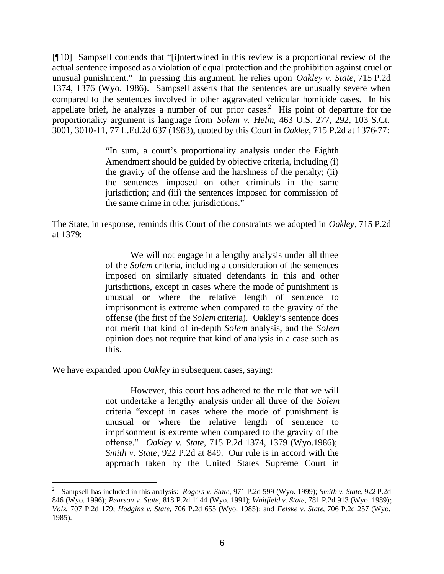[¶10] Sampsell contends that "[i]ntertwined in this review is a proportional review of the actual sentence imposed as a violation of equal protection and the prohibition against cruel or unusual punishment." In pressing this argument, he relies upon *Oakley v. State*, 715 P.2d 1374, 1376 (Wyo. 1986). Sampsell asserts that the sentences are unusually severe when compared to the sentences involved in other aggravated vehicular homicide cases. In his appellate brief, he analyzes a number of our prior cases.<sup>2</sup> His point of departure for the proportionality argument is language from *Solem v. Helm*, 463 U.S. 277, 292, 103 S.Ct. 3001, 3010-11, 77 L.Ed.2d 637 (1983), quoted by this Court in *Oakley*, 715 P.2d at 1376-77:

> "In sum, a court's proportionality analysis under the Eighth Amendment should be guided by objective criteria, including (i) the gravity of the offense and the harshness of the penalty; (ii) the sentences imposed on other criminals in the same jurisdiction; and (iii) the sentences imposed for commission of the same crime in other jurisdictions."

The State, in response, reminds this Court of the constraints we adopted in *Oakley*, 715 P.2d at 1379:

> We will not engage in a lengthy analysis under all three of the *Solem* criteria, including a consideration of the sentences imposed on similarly situated defendants in this and other jurisdictions, except in cases where the mode of punishment is unusual or where the relative length of sentence to imprisonment is extreme when compared to the gravity of the offense (the first of the *Solem* criteria). Oakley's sentence does not merit that kind of in-depth *Solem* analysis, and the *Solem* opinion does not require that kind of analysis in a case such as this.

We have expanded upon *Oakley* in subsequent cases, saying:

l

However, this court has adhered to the rule that we will not undertake a lengthy analysis under all three of the *Solem* criteria "except in cases where the mode of punishment is unusual or where the relative length of sentence to imprisonment is extreme when compared to the gravity of the offense." *Oakley v. State*, 715 P.2d 1374, 1379 (Wyo.1986); *Smith v. State*, 922 P.2d at 849. Our rule is in accord with the approach taken by the United States Supreme Court in

<sup>2</sup> Sampsell has included in this analysis: *Rogers v. State*, 971 P.2d 599 (Wyo. 1999); *Smith v. State*, 922 P.2d 846 (Wyo. 1996); *Pearson v. State*, 818 P.2d 1144 (Wyo. 1991); *Whitfield v. State*, 781 P.2d 913 (Wyo. 1989); *Volz*, 707 P.2d 179; *Hodgins v. State*, 706 P.2d 655 (Wyo. 1985); and *Felske v. State*, 706 P.2d 257 (Wyo. 1985).